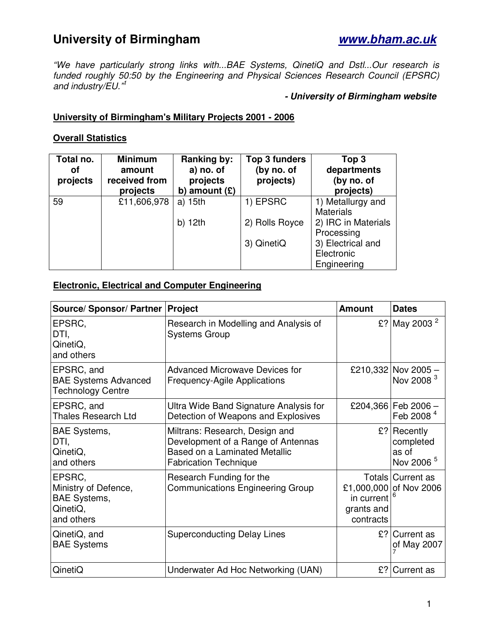# **University of Birmingham www.bham.ac.uk**

"We have particularly strong links with...BAE Systems, QinetiQ and Dstl...Our research is funded roughly 50:50 by the Engineering and Physical Sciences Research Council (EPSRC) and industry/EU."<sup>1</sup>

#### **- University of Birmingham website**

#### **University of Birmingham's Military Projects 2001 - 2006**

#### **Overall Statistics**

| Total no.<br>οf<br>projects | <b>Minimum</b><br>amount<br>received from<br>projects | <b>Ranking by:</b><br>a) no. of<br>projects<br>amount $(E)$<br>b) | <b>Top 3 funders</b><br>(by no. of<br>projects) | Top <sub>3</sub><br>departments<br>(by no. of<br>projects) |
|-----------------------------|-------------------------------------------------------|-------------------------------------------------------------------|-------------------------------------------------|------------------------------------------------------------|
| 59                          | £11,606,978                                           | a) 15th                                                           | 1) EPSRC                                        | 1) Metallurgy and                                          |
|                             |                                                       |                                                                   |                                                 | <b>Materials</b>                                           |
|                             |                                                       | $b)$ 12th                                                         | 2) Rolls Royce                                  | 2) IRC in Materials                                        |
|                             |                                                       |                                                                   |                                                 | Processing                                                 |
|                             |                                                       |                                                                   | 3) QinetiQ                                      | 3) Electrical and                                          |
|                             |                                                       |                                                                   |                                                 | Electronic                                                 |
|                             |                                                       |                                                                   |                                                 | Engineering                                                |

#### **Electronic, Electrical and Computer Engineering**

| Source/ Sponsor/ Partner   Project                                              |                                                                                                                                              | <b>Amount</b>                         | <b>Dates</b>                                                  |
|---------------------------------------------------------------------------------|----------------------------------------------------------------------------------------------------------------------------------------------|---------------------------------------|---------------------------------------------------------------|
| EPSRC,<br>DTI,<br>QinetiQ,<br>and others                                        | Research in Modelling and Analysis of<br><b>Systems Group</b>                                                                                |                                       | £? May 2003 <sup>2</sup>                                      |
| EPSRC, and<br><b>BAE Systems Advanced</b><br>Technology Centre                  | <b>Advanced Microwave Devices for</b><br><b>Frequency-Agile Applications</b>                                                                 |                                       | £210,332 Nov 2005 -<br>Nov 2008 <sup>3</sup>                  |
| EPSRC, and<br><b>Thales Research Ltd</b>                                        | Ultra Wide Band Signature Analysis for<br>Detection of Weapons and Explosives                                                                |                                       | £204,366 Feb 2006 -<br>Feb 2008 <sup>4</sup>                  |
| <b>BAE Systems,</b><br>DTI,<br>QinetiQ,<br>and others                           | Miltrans: Research, Design and<br>Development of a Range of Antennas<br><b>Based on a Laminated Metallic</b><br><b>Fabrication Technique</b> |                                       | $£$ ? Recently<br>completed<br>as of<br>Nov 2006 <sup>5</sup> |
| EPSRC,<br>Ministry of Defence,<br><b>BAE Systems,</b><br>QinetiQ,<br>and others | Research Funding for the<br><b>Communications Engineering Group</b>                                                                          | in current<br>grants and<br>contracts | Totals Current as<br>£1,000,000 of Nov 2006                   |
| QinetiQ, and<br><b>BAE Systems</b>                                              | <b>Superconducting Delay Lines</b>                                                                                                           | £?                                    | <b>Current as</b><br>of May 2007                              |
| QinetiQ                                                                         | Underwater Ad Hoc Networking (UAN)                                                                                                           | £?                                    | Current as                                                    |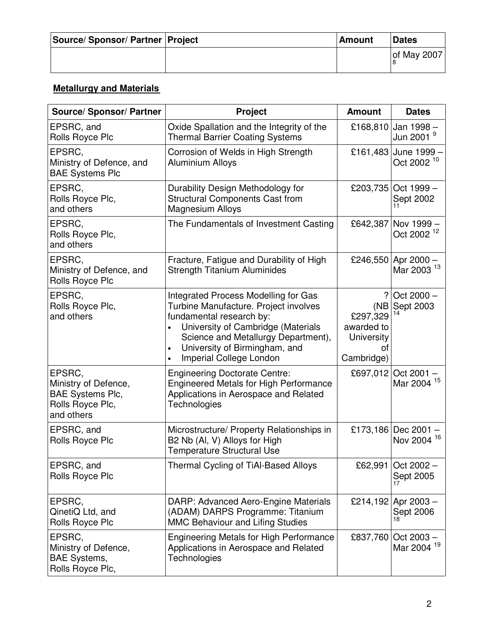| Source/Sponsor/Partner Project | <b>Amount</b> | <b>Dates</b> |
|--------------------------------|---------------|--------------|
|                                |               | of May 2007  |

## **Metallurgy and Materials**

| Source/ Sponsor/ Partner                                                                    | <b>Project</b>                                                                                                                                                                                                                                     | <b>Amount</b>                                                               | <b>Dates</b>                                  |
|---------------------------------------------------------------------------------------------|----------------------------------------------------------------------------------------------------------------------------------------------------------------------------------------------------------------------------------------------------|-----------------------------------------------------------------------------|-----------------------------------------------|
| EPSRC, and<br>Rolls Royce Plc                                                               | Oxide Spallation and the Integrity of the<br><b>Thermal Barrier Coating Systems</b>                                                                                                                                                                | £168,810                                                                    | Jan 1998-<br>Jun 2001 <sup>9</sup>            |
| EPSRC,<br>Ministry of Defence, and<br><b>BAE Systems Plc</b>                                | Corrosion of Welds in High Strength<br><b>Aluminium Alloys</b>                                                                                                                                                                                     | £161,483                                                                    | June 1999 -<br>Oct 2002 <sup>10</sup>         |
| EPSRC,<br>Rolls Royce Plc,<br>and others                                                    | Durability Design Methodology for<br><b>Structural Components Cast from</b><br><b>Magnesium Alloys</b>                                                                                                                                             | £203,735                                                                    | Oct 1999 -<br>Sept 2002                       |
| EPSRC,<br>Rolls Royce Plc,<br>and others                                                    | The Fundamentals of Investment Casting                                                                                                                                                                                                             | £642,387                                                                    | Nov 1999 -<br>Oct 2002 <sup>12</sup>          |
| EPSRC,<br>Ministry of Defence, and<br>Rolls Royce Plc                                       | Fracture, Fatigue and Durability of High<br><b>Strength Titanium Aluminides</b>                                                                                                                                                                    | £246,550                                                                    | Apr 2000 -<br>Mar 2003 <sup>13</sup>          |
| EPSRC,<br>Rolls Royce Plc,<br>and others                                                    | Integrated Process Modelling for Gas<br>Turbine Manufacture. Project involves<br>fundamental research by:<br>University of Cambridge (Materials<br>Science and Metallurgy Department),<br>University of Birmingham, and<br>Imperial College London | ?<br>(NB<br>£297,329<br>awarded to<br><b>University</b><br>οf<br>Cambridge) | Oct 2000 -<br>Sept 2003                       |
| EPSRC,<br>Ministry of Defence,<br><b>BAE Systems Plc,</b><br>Rolls Royce Plc,<br>and others | <b>Engineering Doctorate Centre:</b><br><b>Engineered Metals for High Performance</b><br>Applications in Aerospace and Related<br>Technologies                                                                                                     |                                                                             | £697,012 Oct 2001 -<br>Mar 2004 <sup>15</sup> |
| EPSRC, and<br>Rolls Royce Plc                                                               | Microstructure/ Property Relationships in<br>B2 Nb (Al, V) Alloys for High<br><b>Temperature Structural Use</b>                                                                                                                                    |                                                                             | £173,186 Dec 2001-<br>Nov 2004 16             |
| EPSRC, and<br>Rolls Royce Plc                                                               | Thermal Cycling of TiAl-Based Alloys                                                                                                                                                                                                               |                                                                             | £62,991 Oct 2002 -<br>Sept 2005               |
| EPSRC,<br>QinetiQ Ltd, and<br>Rolls Royce Plc                                               | DARP: Advanced Aero-Engine Materials<br>(ADAM) DARPS Programme: Titanium<br><b>MMC Behaviour and Lifing Studies</b>                                                                                                                                | £214,192                                                                    | Apr 2003 -<br>Sept 2006                       |
| EPSRC,<br>Ministry of Defence,<br><b>BAE Systems,</b><br>Rolls Royce Plc,                   | <b>Engineering Metals for High Performance</b><br>Applications in Aerospace and Related<br>Technologies                                                                                                                                            | £837,760                                                                    | $Oct 2003 -$<br>Mar 2004 <sup>19</sup>        |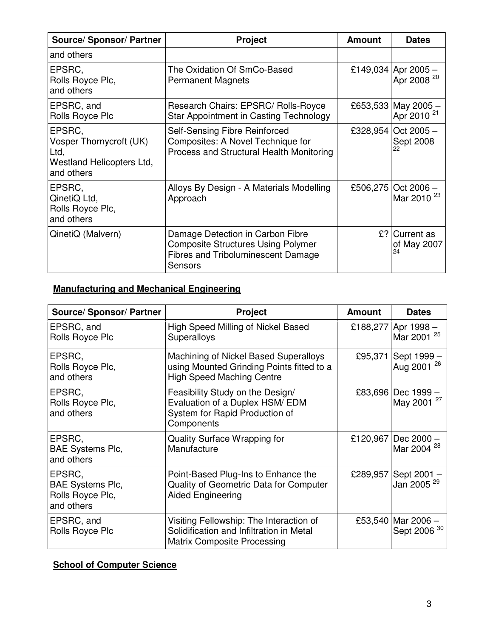| <b>Source/ Sponsor/ Partner</b>                                                      | <b>Project</b>                                                                                                                        | <b>Amount</b> | <b>Dates</b>                                  |
|--------------------------------------------------------------------------------------|---------------------------------------------------------------------------------------------------------------------------------------|---------------|-----------------------------------------------|
| and others                                                                           |                                                                                                                                       |               |                                               |
| EPSRC,<br>Rolls Royce Plc,<br>and others                                             | The Oxidation Of SmCo-Based<br><b>Permanent Magnets</b>                                                                               |               | £149,034 Apr 2005 -<br>Apr 2008 <sup>20</sup> |
| EPSRC, and<br>Rolls Royce Plc                                                        | Research Chairs: EPSRC/ Rolls-Royce<br>Star Appointment in Casting Technology                                                         |               | £653,533 May 2005 -<br>Apr 2010 <sup>21</sup> |
| EPSRC,<br>Vosper Thornycroft (UK)<br>Ltd,<br>Westland Helicopters Ltd,<br>and others | Self-Sensing Fibre Reinforced<br>Composites: A Novel Technique for<br>Process and Structural Health Monitoring                        |               | £328,954 Oct 2005 -<br>Sept 2008              |
| EPSRC,<br>QinetiQ Ltd,<br>Rolls Royce Plc,<br>and others                             | Alloys By Design - A Materials Modelling<br>Approach                                                                                  | £506,275      | Oct $2006 -$<br>Mar 2010 <sup>23</sup>        |
| QinetiQ (Malvern)                                                                    | Damage Detection in Carbon Fibre<br><b>Composite Structures Using Polymer</b><br><b>Fibres and Triboluminescent Damage</b><br>Sensors |               | £? Current as<br>of May 2007<br>24            |

## **Manufacturing and Mechanical Engineering**

| <b>Source/ Sponsor/ Partner</b>                                     | <b>Project</b>                                                                                                            | <b>Amount</b> | <b>Dates</b>                                 |
|---------------------------------------------------------------------|---------------------------------------------------------------------------------------------------------------------------|---------------|----------------------------------------------|
| EPSRC, and<br>Rolls Royce Plc                                       | High Speed Milling of Nickel Based<br>Superalloys                                                                         | £188,277      | Apr 1998 –<br>Mar 2001 <sup>25</sup>         |
| EPSRC,<br>Rolls Royce Plc,<br>and others                            | Machining of Nickel Based Superalloys<br>using Mounted Grinding Points fitted to a<br><b>High Speed Maching Centre</b>    | £95,371       | Sept 1999 -<br>Aug 2001 <sup>26</sup>        |
| EPSRC,<br>Rolls Royce Plc,<br>and others                            | Feasibility Study on the Design/<br>Evaluation of a Duplex HSM/ EDM<br>System for Rapid Production of<br>Components       |               | £83,696 Dec 1999 -<br>May 2001 <sup>27</sup> |
| EPSRC,<br><b>BAE Systems Plc,</b><br>and others                     | Quality Surface Wrapping for<br>Manufacture                                                                               | £120,967      | Dec 2000 -<br>Mar 2004 <sup>28</sup>         |
| EPSRC,<br><b>BAE Systems Plc,</b><br>Rolls Royce Plc,<br>and others | Point-Based Plug-Ins to Enhance the<br>Quality of Geometric Data for Computer<br><b>Aided Engineering</b>                 | £289,957      | Sept 2001-<br>Jan 2005 <sup>29</sup>         |
| EPSRC, and<br>Rolls Royce Plc                                       | Visiting Fellowship: The Interaction of<br>Solidification and Infiltration in Metal<br><b>Matrix Composite Processing</b> | £53,540       | Mar 2006 -<br>Sept 2006 <sup>30</sup>        |

# **School of Computer Science**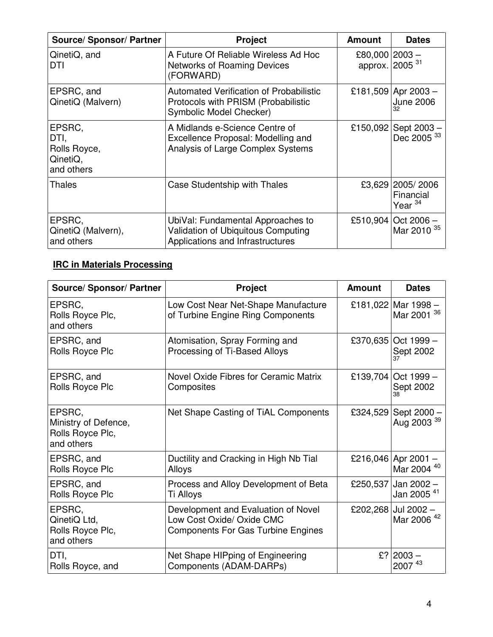| Source/ Sponsor/ Partner                                 | <b>Project</b>                                                                                                   | <b>Amount</b>                                | <b>Dates</b>                                   |
|----------------------------------------------------------|------------------------------------------------------------------------------------------------------------------|----------------------------------------------|------------------------------------------------|
| QinetiQ, and<br>DTI                                      | A Future Of Reliable Wireless Ad Hoc<br><b>Networks of Roaming Devices</b><br>(FORWARD)                          | £80,000 2003 -<br>approx. 2005 <sup>31</sup> |                                                |
| EPSRC, and<br>QinetiQ (Malvern)                          | <b>Automated Verification of Probabilistic</b><br>Protocols with PRISM (Probabilistic<br>Symbolic Model Checker) |                                              | £181,509 Apr 2003 -<br><b>June 2006</b><br>32  |
| EPSRC,<br>DTI,<br>Rolls Royce,<br>QinetiQ,<br>and others | A Midlands e-Science Centre of<br>Excellence Proposal: Modelling and<br>Analysis of Large Complex Systems        |                                              | £150,092 Sept 2003 -<br>Dec 2005 <sup>33</sup> |
| <b>Thales</b>                                            | Case Studentship with Thales                                                                                     |                                              | £3,629 2005/2006<br>Financial<br>Year $34$     |
| EPSRC,<br>QinetiQ (Malvern),<br>and others               | UbiVal: Fundamental Approaches to<br>Validation of Ubiquitous Computing<br>Applications and Infrastructures      |                                              | £510,904 Oct 2006 -<br>Mar 2010 <sup>35</sup>  |

# **IRC in Materials Processing**

| <b>Source/ Sponsor/ Partner</b>                                  | <b>Project</b>                                                                                                | <b>Amount</b> | <b>Dates</b>                                   |
|------------------------------------------------------------------|---------------------------------------------------------------------------------------------------------------|---------------|------------------------------------------------|
| EPSRC,<br>Rolls Royce Plc,<br>and others                         | Low Cost Near Net-Shape Manufacture<br>of Turbine Engine Ring Components                                      |               | £181,022 Mar 1998 -<br>Mar 2001 36             |
| EPSRC, and                                                       | Atomisation, Spray Forming and                                                                                |               | £370,635 Oct 1999 -                            |
| Rolls Royce Plc                                                  | Processing of Ti-Based Alloys                                                                                 |               | Sept 2002                                      |
| EPSRC, and                                                       | Novel Oxide Fibres for Ceramic Matrix                                                                         |               | £139,704 Oct 1999 -                            |
| Rolls Royce Plc                                                  | Composites                                                                                                    |               | Sept 2002                                      |
| EPSRC,<br>Ministry of Defence,<br>Rolls Royce Plc,<br>and others | Net Shape Casting of TiAL Components                                                                          |               | £324,529 Sept 2000 -<br>Aug 2003 <sup>39</sup> |
| EPSRC, and                                                       | Ductility and Cracking in High Nb Tial                                                                        |               | £216,046 Apr 2001 -                            |
| Rolls Royce Plc                                                  | Alloys                                                                                                        |               | Mar 2004 40                                    |
| EPSRC, and                                                       | Process and Alloy Development of Beta                                                                         |               | £250,537 Jan 2002 -                            |
| Rolls Royce Plc                                                  | Ti Alloys                                                                                                     |               | Jan 2005 <sup>41</sup>                         |
| EPSRC,<br>QinetiQ Ltd,<br>Rolls Royce Plc,<br>and others         | Development and Evaluation of Novel<br>Low Cost Oxide/ Oxide CMC<br><b>Components For Gas Turbine Engines</b> |               | £202,268 Jul 2002 -<br>Mar 2006 <sup>42</sup>  |
| DTI,                                                             | Net Shape HIPping of Engineering                                                                              |               | £? 2003 -                                      |
| Rolls Royce, and                                                 | Components (ADAM-DARPs)                                                                                       |               | 2007 <sup>43</sup>                             |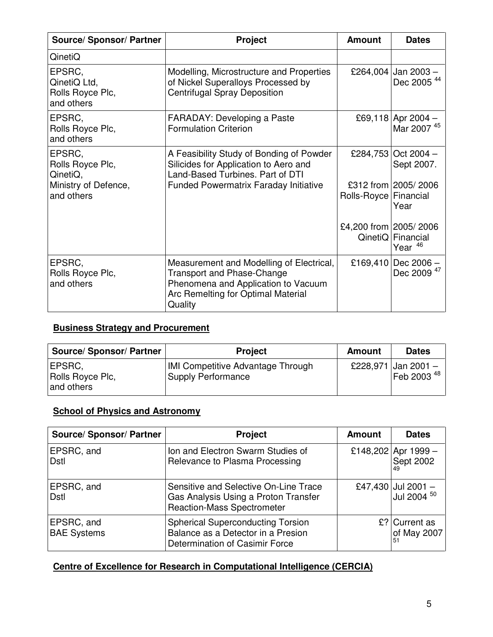| <b>Source/ Sponsor/ Partner</b>                                              | <b>Project</b>                                                                                                                                                        | <b>Amount</b>           | <b>Dates</b>                                                     |
|------------------------------------------------------------------------------|-----------------------------------------------------------------------------------------------------------------------------------------------------------------------|-------------------------|------------------------------------------------------------------|
| QinetiQ                                                                      |                                                                                                                                                                       |                         |                                                                  |
| EPSRC,<br>QinetiQ Ltd,<br>Rolls Royce Plc,<br>and others                     | Modelling, Microstructure and Properties<br>of Nickel Superalloys Processed by<br><b>Centrifugal Spray Deposition</b>                                                 |                         | £264,004 Jan 2003 -<br>Dec 2005 <sup>44</sup>                    |
| EPSRC,<br>Rolls Royce Plc,<br>and others                                     | <b>FARADAY: Developing a Paste</b><br><b>Formulation Criterion</b>                                                                                                    |                         | £69,118 Apr 2004 -<br>Mar 2007 <sup>45</sup>                     |
| EPSRC,<br>Rolls Royce Plc,<br>QinetiQ,<br>Ministry of Defence,<br>and others | A Feasibility Study of Bonding of Powder<br>Silicides for Application to Aero and<br>Land-Based Turbines. Part of DTI<br><b>Funded Powermatrix Faraday Initiative</b> | Rolls-Royce   Financial | £284,753 Oct 2004 -<br>Sept 2007.<br>£312 from 2005/2006<br>Year |
|                                                                              |                                                                                                                                                                       | £4,200 from 2005/2006   | QinetiQ Financial<br>Year <sup>46</sup>                          |
| EPSRC,<br>Rolls Royce Plc,<br>and others                                     | Measurement and Modelling of Electrical,<br><b>Transport and Phase-Change</b><br>Phenomena and Application to Vacuum<br>Arc Remelting for Optimal Material<br>Quality |                         | £169,410 Dec 2006 -<br>Dec 2009 <sup>47</sup>                    |

### **Business Strategy and Procurement**

| <b>Source/ Sponsor/ Partner</b>          | <b>Project</b>                                                 | Amount | <b>Dates</b>                                  |
|------------------------------------------|----------------------------------------------------------------|--------|-----------------------------------------------|
| EPSRC,<br>Rolls Royce Plc,<br>and others | IMI Competitive Advantage Through<br><b>Supply Performance</b> |        | £228,971 Jan 2001 -<br>Feb 2003 <sup>48</sup> |

### **School of Physics and Astronomy**

| <b>Source/ Sponsor/ Partner</b>  | <b>Project</b>                                                                                                     | <b>Amount</b> | <b>Dates</b>                                 |
|----------------------------------|--------------------------------------------------------------------------------------------------------------------|---------------|----------------------------------------------|
| EPSRC, and<br>Dstl               | Ion and Electron Swarm Studies of<br>Relevance to Plasma Processing                                                |               | £148,202 Apr 1999 -<br>Sept 2002             |
| EPSRC, and<br>Dstl               | Sensitive and Selective On-Line Trace<br>Gas Analysis Using a Proton Transfer<br><b>Reaction-Mass Spectrometer</b> |               | £47,430 Jul 2001 -<br>Jul 2004 <sup>50</sup> |
| EPSRC, and<br><b>BAE Systems</b> | <b>Spherical Superconducting Torsion</b><br>Balance as a Detector in a Presion<br>Determination of Casimir Force   |               | £? Current as<br>of May 2007<br>51           |

### **Centre of Excellence for Research in Computational Intelligence (CERCIA)**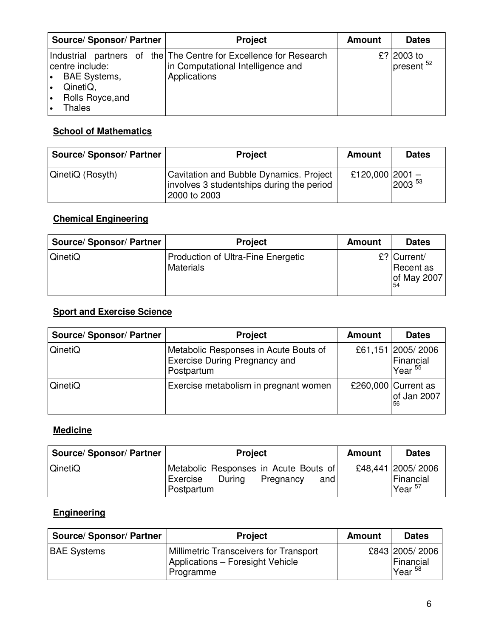| <b>Source/ Sponsor/ Partner</b>                                                                     | <b>Project</b>                                                                                                         | <b>Amount</b> | <b>Dates</b>                        |
|-----------------------------------------------------------------------------------------------------|------------------------------------------------------------------------------------------------------------------------|---------------|-------------------------------------|
| centre include:<br><b>BAE Systems,</b><br>$\bullet$<br>QinetiQ,<br>∣∙<br>Rolls Royce, and<br>Thales | Industrial partners of the The Centre for Excellence for Research<br>in Computational Intelligence and<br>Applications |               | £? 2003 to<br>present <sup>52</sup> |

## **School of Mathematics**

| <b>Source/ Sponsor/ Partner</b> | <b>Project</b>                                                                                       | Amount          | <b>Dates</b> |
|---------------------------------|------------------------------------------------------------------------------------------------------|-----------------|--------------|
| QinetiQ (Rosyth)                | Cavitation and Bubble Dynamics. Project<br>involves 3 studentships during the period<br>2000 to 2003 | £120,000 2001 - | $2003^{53}$  |

# **Chemical Engineering**

| <b>Source/ Sponsor/ Partner</b> | <b>Project</b>                                         | <b>Amount</b> | <b>Dates</b>                                             |
|---------------------------------|--------------------------------------------------------|---------------|----------------------------------------------------------|
| <b>QinetiQ</b>                  | <b>Production of Ultra-Fine Energetic</b><br>Materials |               | $\mathsf{E}? Current/$<br>Recent as<br>of May 2007<br>54 |

# **Sport and Exercise Science**

| <b>Source/ Sponsor/ Partner</b> | <b>Project</b>                                                                              | <b>Amount</b> | <b>Dates</b>                                |
|---------------------------------|---------------------------------------------------------------------------------------------|---------------|---------------------------------------------|
| QinetiQ                         | Metabolic Responses in Acute Bouts of<br><b>Exercise During Pregnancy and</b><br>Postpartum |               | £61,151 2005/2006<br>Financial<br>Year $55$ |
| QinetiQ                         | Exercise metabolism in pregnant women                                                       |               | £260,000 Current as<br>of Jan 2007<br>56    |

### **Medicine**

| <b>Source/ Sponsor/ Partner</b> | <b>Project</b>                                                                                | <b>Amount</b> | <b>Dates</b>                                               |
|---------------------------------|-----------------------------------------------------------------------------------------------|---------------|------------------------------------------------------------|
| QinetiQ                         | Metabolic Responses in Acute Bouts of<br>During<br>Exercise<br>and<br>Pregnancy<br>Postpartum |               | £48,441 2005/2006<br>Financial<br>$^{\prime}$ Year $^{57}$ |

# **Engineering**

| <b>Source/ Sponsor/ Partner</b> | <b>Project</b>                                                                                 | <b>Amount</b> | <b>Dates</b>                                            |
|---------------------------------|------------------------------------------------------------------------------------------------|---------------|---------------------------------------------------------|
| <b>BAE Systems</b>              | <b>Millimetric Transceivers for Transport</b><br>Applications - Foresight Vehicle<br>Programme |               | £843 2005/2006<br>Financial<br>$^{\prime}$ Year $^{58}$ |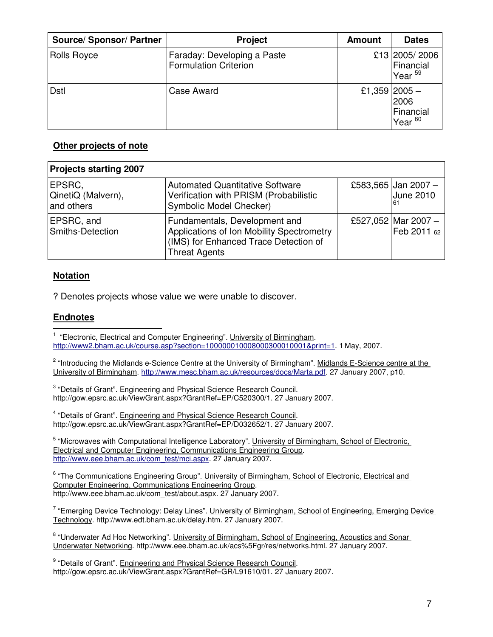| <b>Source/ Sponsor/ Partner</b> | <b>Project</b>                                              | <b>Amount</b> | <b>Dates</b>                                             |
|---------------------------------|-------------------------------------------------------------|---------------|----------------------------------------------------------|
| <b>Rolls Royce</b>              | Faraday: Developing a Paste<br><b>Formulation Criterion</b> |               | £13 2005/2006<br>Financial<br>Year <sup>59</sup>         |
| Dstl                            | Case Award                                                  |               | £1,359 2005 -<br>2006<br>Financial<br>Year <sup>60</sup> |

#### **Other projects of note**

| <b>Projects starting 2007</b>              |                                                                                                                                             |                                               |
|--------------------------------------------|---------------------------------------------------------------------------------------------------------------------------------------------|-----------------------------------------------|
| EPSRC,<br>QinetiQ (Malvern),<br>and others | <b>Automated Quantitative Software</b><br>Verification with PRISM (Probabilistic<br>Symbolic Model Checker)                                 | £583,565 Jan 2007 -<br><b>June 2010</b><br>61 |
| EPSRC, and<br>Smiths-Detection             | Fundamentals, Development and<br>Applications of Ion Mobility Spectrometry<br>(IMS) for Enhanced Trace Detection of<br><b>Threat Agents</b> | £527,052 Mar 2007 -<br>Feb 2011 62            |

#### **Notation**

? Denotes projects whose value we were unable to discover.

#### **Endnotes** - 1

<sup>1</sup> "Electronic, Electrical and Computer Engineering". University of Birmingham. http://www2.bham.ac.uk/course.asp?section=100000010008000300010001&print=1. 1 May, 2007.

<sup>2</sup> "Introducing the Midlands e-Science Centre at the University of Birmingham". Midlands E-Science centre at the University of Birmingham. http://www.mesc.bham.ac.uk/resources/docs/Marta.pdf. 27 January 2007, p10.

<sup>3</sup> "Details of Grant". Engineering and Physical Science Research Council. http://gow.epsrc.ac.uk/ViewGrant.aspx?GrantRef=EP/C520300/1. 27 January 2007.

<sup>4</sup> "Details of Grant". Engineering and Physical Science Research Council. http://gow.epsrc.ac.uk/ViewGrant.aspx?GrantRef=EP/D032652/1. 27 January 2007.

<sup>5</sup> "Microwaves with Computational Intelligence Laboratory". University of Birmingham, School of Electronic, Electrical and Computer Engineering, Communications Engineering Group. http://www.eee.bham.ac.uk/com\_test/mci.aspx. 27 January 2007.

<sup>6</sup> "The Communications Engineering Group". University of Birmingham, School of Electronic, Electrical and Computer Engineering, Communications Engineering Group. http://www.eee.bham.ac.uk/com\_test/about.aspx. 27 January 2007.

<sup>7</sup> "Emerging Device Technology: Delay Lines". University of Birmingham, School of Engineering, Emerging Device Technology. http://www.edt.bham.ac.uk/delay.htm. 27 January 2007.

<sup>8</sup> "Underwater Ad Hoc Networking". University of Birmingham, School of Engineering, Acoustics and Sonar Underwater Networking. http://www.eee.bham.ac.uk/acs%5Fgr/res/networks.html. 27 January 2007.

<sup>9</sup> "Details of Grant". Engineering and Physical Science Research Council. http://gow.epsrc.ac.uk/ViewGrant.aspx?GrantRef=GR/L91610/01. 27 January 2007.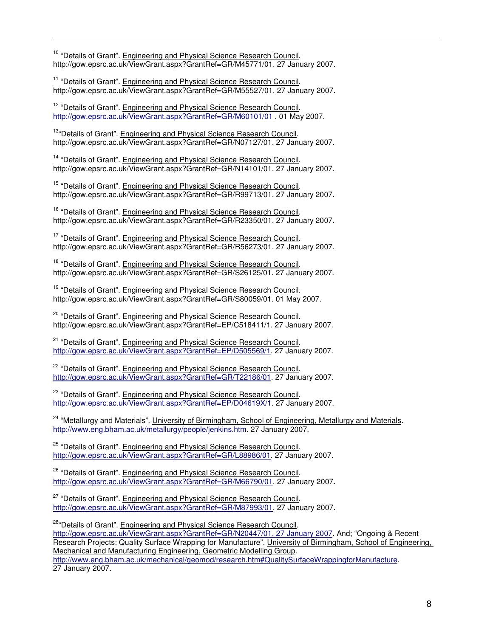<sup>10</sup> "Details of Grant". Engineering and Physical Science Research Council. http://gow.epsrc.ac.uk/ViewGrant.aspx?GrantRef=GR/M45771/01. 27 January 2007.

 $\overline{a}$ 

<sup>11</sup> "Details of Grant". Engineering and Physical Science Research Council. http://gow.epsrc.ac.uk/ViewGrant.aspx?GrantRef=GR/M55527/01. 27 January 2007.

<sup>12</sup> "Details of Grant". Engineering and Physical Science Research Council. http://gow.epsrc.ac.uk/ViewGrant.aspx?GrantRef=GR/M60101/01 . 01 May 2007.

<sup>13</sup>"Details of Grant". Engineering and Physical Science Research Council. http://gow.epsrc.ac.uk/ViewGrant.aspx?GrantRef=GR/N07127/01. 27 January 2007.

<sup>14</sup> "Details of Grant". Engineering and Physical Science Research Council. http://gow.epsrc.ac.uk/ViewGrant.aspx?GrantRef=GR/N14101/01. 27 January 2007.

<sup>15</sup> "Details of Grant". Engineering and Physical Science Research Council. http://gow.epsrc.ac.uk/ViewGrant.aspx?GrantRef=GR/R99713/01. 27 January 2007.

<sup>16</sup> "Details of Grant". Engineering and Physical Science Research Council. http://gow.epsrc.ac.uk/ViewGrant.aspx?GrantRef=GR/R23350/01. 27 January 2007.

<sup>17</sup> "Details of Grant". Engineering and Physical Science Research Council. http://gow.epsrc.ac.uk/ViewGrant.aspx?GrantRef=GR/R56273/01. 27 January 2007.

<sup>18</sup> "Details of Grant". Engineering and Physical Science Research Council. http://gow.epsrc.ac.uk/ViewGrant.aspx?GrantRef=GR/S26125/01. 27 January 2007.

<sup>19</sup> "Details of Grant". Engineering and Physical Science Research Council. http://gow.epsrc.ac.uk/ViewGrant.aspx?GrantRef=GR/S80059/01. 01 May 2007.

<sup>20</sup> "Details of Grant". Engineering and Physical Science Research Council. http://gow.epsrc.ac.uk/ViewGrant.aspx?GrantRef=EP/C518411/1. 27 January 2007.

<sup>21</sup> "Details of Grant". Engineering and Physical Science Research Council. http://gow.epsrc.ac.uk/ViewGrant.aspx?GrantRef=EP/D505569/1. 27 January 2007.

<sup>22</sup> "Details of Grant". Engineering and Physical Science Research Council. http://gow.epsrc.ac.uk/ViewGrant.aspx?GrantRef=GR/T22186/01.27 January 2007.

<sup>23</sup> "Details of Grant". Engineering and Physical Science Research Council. http://gow.epsrc.ac.uk/ViewGrant.aspx?GrantRef=EP/D04619X/1. 27 January 2007.

<sup>24</sup> "Metallurgy and Materials". University of Birmingham, School of Engineering, Metallurgy and Materials. http://www.eng.bham.ac.uk/metallurgy/people/jenkins.htm. 27 January 2007.

<sup>25</sup> "Details of Grant". Engineering and Physical Science Research Council. http://gow.epsrc.ac.uk/ViewGrant.aspx?GrantRef=GR/L88986/01. 27 January 2007.

<sup>26</sup> "Details of Grant". Engineering and Physical Science Research Council. http://gow.epsrc.ac.uk/ViewGrant.aspx?GrantRef=GR/M66790/01. 27 January 2007.

<sup>27</sup> "Details of Grant". Engineering and Physical Science Research Council. http://gow.epsrc.ac.uk/ViewGrant.aspx?GrantRef=GR/M87993/01. 27 January 2007.

<sup>28</sup>"Details of Grant". Engineering and Physical Science Research Council. http://gow.epsrc.ac.uk/ViewGrant.aspx?GrantRef=GR/N20447/01. 27 January 2007. And; "Ongoing & Recent Research Projects: Quality Surface Wrapping for Manufacture". University of Birmingham, School of Engineering, Mechanical and Manufacturing Engineering, Geometric Modelling Group. http://www.eng.bham.ac.uk/mechanical/geomod/research.htm#QualitySurfaceWrappingforManufacture. 27 January 2007.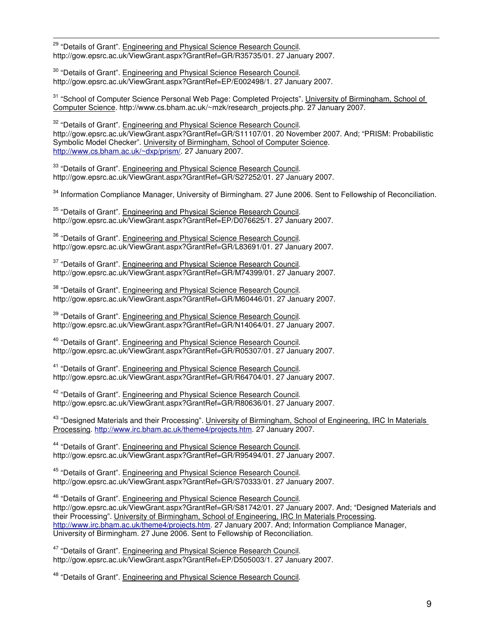<sup>29</sup> "Details of Grant". Engineering and Physical Science Research Council. http://gow.epsrc.ac.uk/ViewGrant.aspx?GrantRef=GR/R35735/01. 27 January 2007.

 $\overline{a}$ 

<sup>30</sup> "Details of Grant". Engineering and Physical Science Research Council. http://gow.epsrc.ac.uk/ViewGrant.aspx?GrantRef=EP/E002498/1. 27 January 2007.

<sup>31</sup> "School of Computer Science Personal Web Page: Completed Projects". University of Birmingham, School of Computer Science. http://www.cs.bham.ac.uk/~mzk/research\_projects.php. 27 January 2007.

<sup>32</sup> "Details of Grant". Engineering and Physical Science Research Council. http://gow.epsrc.ac.uk/ViewGrant.aspx?GrantRef=GR/S11107/01. 20 November 2007. And; "PRISM: Probabilistic Symbolic Model Checker". University of Birmingham, School of Computer Science. http://www.cs.bham.ac.uk/~dxp/prism/. 27 January 2007.

33 "Details of Grant". Engineering and Physical Science Research Council. http://gow.epsrc.ac.uk/ViewGrant.aspx?GrantRef=GR/S27252/01. 27 January 2007.

<sup>34</sup> Information Compliance Manager, University of Birmingham. 27 June 2006. Sent to Fellowship of Reconciliation.

<sup>35</sup> "Details of Grant". Engineering and Physical Science Research Council. http://gow.epsrc.ac.uk/ViewGrant.aspx?GrantRef=EP/D076625/1. 27 January 2007.

<sup>36</sup> "Details of Grant". Engineering and Physical Science Research Council. http://gow.epsrc.ac.uk/ViewGrant.aspx?GrantRef=GR/L83691/01. 27 January 2007.

<sup>37</sup> "Details of Grant". Engineering and Physical Science Research Council. http://gow.epsrc.ac.uk/ViewGrant.aspx?GrantRef=GR/M74399/01. 27 January 2007.

38 "Details of Grant". Engineering and Physical Science Research Council. http://gow.epsrc.ac.uk/ViewGrant.aspx?GrantRef=GR/M60446/01.27 January 2007.

<sup>39</sup> "Details of Grant". Engineering and Physical Science Research Council. http://gow.epsrc.ac.uk/ViewGrant.aspx?GrantRef=GR/N14064/01. 27 January 2007.

<sup>40</sup> "Details of Grant". Engineering and Physical Science Research Council. http://gow.epsrc.ac.uk/ViewGrant.aspx?GrantRef=GR/R05307/01. 27 January 2007.

<sup>41</sup> "Details of Grant". Engineering and Physical Science Research Council. http://gow.epsrc.ac.uk/ViewGrant.aspx?GrantRef=GR/R64704/01.27 January 2007.

<sup>42</sup> "Details of Grant". Engineering and Physical Science Research Council. http://gow.epsrc.ac.uk/ViewGrant.aspx?GrantRef=GR/R80636/01. 27 January 2007.

<sup>43</sup> "Designed Materials and their Processing". University of Birmingham, School of Engineering, IRC In Materials Processing. http://www.irc.bham.ac.uk/theme4/projects.htm. 27 January 2007.

<sup>44</sup> "Details of Grant". Engineering and Physical Science Research Council. http://gow.epsrc.ac.uk/ViewGrant.aspx?GrantRef=GR/R95494/01. 27 January 2007.

<sup>45</sup> "Details of Grant". Engineering and Physical Science Research Council. http://gow.epsrc.ac.uk/ViewGrant.aspx?GrantRef=GR/S70333/01. 27 January 2007.

<sup>46</sup> "Details of Grant". Engineering and Physical Science Research Council. http://gow.epsrc.ac.uk/ViewGrant.aspx?GrantRef=GR/S81742/01. 27 January 2007. And: "Designed Materials and their Processing". University of Birmingham, School of Engineering, IRC In Materials Processing. http://www.irc.bham.ac.uk/theme4/projects.htm. 27 January 2007. And; Information Compliance Manager, University of Birmingham. 27 June 2006. Sent to Fellowship of Reconciliation.

<sup>47</sup> "Details of Grant". Engineering and Physical Science Research Council. http://gow.epsrc.ac.uk/ViewGrant.aspx?GrantRef=EP/D505003/1. 27 January 2007.

<sup>48</sup> "Details of Grant". Engineering and Physical Science Research Council.